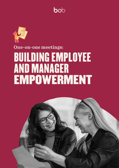



# **One-on-one meetings: BUILDING EMPLOYEE AND MANAGER** EMPOWERMENT

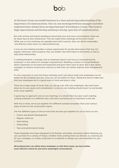At the heart of any successful business is a clear and strong understanding of the importance of communication. One-on-one meetings between managers and their employees have always been an important part of working in a team. They help to align expectations and develop and keep a strong, open line of communication.

But with remote and hybrid workplaces becoming more and more commonplace, there are far fewer face-to-face interactions. This has made these meetings all the more crucial. While one-on-one meetings are arguably best held in person, they can still be meaningful and effective when done via videoconferencing.

A one-on-one meeting provides a unique opportunity for private discussions that may not happen otherwise. Done properly, they can enable vital information to be shared, as well as help build relationships.

A meeting between a manager and an employee doesn't just focus on empowering the employee-it also allows for manager empowerment. Building a culture of mutual feedback allows employees to be heard and respected and gives them room to grow. But it also allows managers to receive constructive criticism so that they can further improve their management .skills

It's also important to note that these meetings aren't just about what your employees can do better for the company, but also what you can do better for them. Taking the time to make sure that your employees are in a good state of mind and body is vital.

There are a huge range of issues that you can go over with your employees. But each issue deserves its own space and consideration-a one-on-one meeting should never try and bundle every issue together.

A good way to approach one-on-one meetings is to divide them by type-each meeting putting emphasis on a different area, with each one being just as important as the last.

With this in mind, we've put together five different example templates that cover various types of one-on-one conversation topics.

The five different types of one-on-ones that we have put together for you to focus on are:

- Career and growth development
- Regular check-ins
- Goal setting
- Onboarding
- Year-end performance review

These templates have been designed to be flexible, actionable, and easily edited. Meaning you can use them for a variety of things—whether that's printing them out directly as a training aid for your managers, or simply using them as a baseline to design your own templates for your .company

**HR** professionals can utilize these templates so that their teams can have better, more effective check-ins and more meaningful conversations.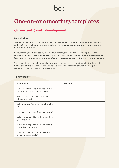## bol

## **One-on-one meetings templates**

### **Career and growth development**

#### **Description**

Your employee's growth and development is a key aspect of making sure they are in a happy and healthy state of mind—and being able to look towards and make plans for the future is an important part of that.

Encouraging growth and setting goals allows employees to understand their place in the company and what they should be aiming for. It allows them to feel as if they are being listened to, considered, and cared for in the long term—in addition to helping them grow in their careers.

This template aims to help bring clarity to your employee's career and growth development. By the end of this meeting, you should have a clear understanding of what your employee wants, and how you can help facilitate them.

#### **Talking points**

| <b>Question</b>                                                          | Answer |
|--------------------------------------------------------------------------|--------|
| When you think about yourself in 1-2<br>years' time, what comes to mind? |        |
| What do you enjoy most and least<br>about your job?                      |        |
| Where do you feel that your strengths<br>lie?                            |        |
| How can we develop those strengths?                                      |        |
| What would you like to do to continue<br>your growth here?               |        |
| What next steps could you be taking<br>towards those goals?              |        |
| How can I help you be successful in<br>pursuing these goals?             |        |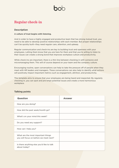## **Regular** check-in

#### **Description**

#### A culture of trust begins with listening.

And in order to have a highly engaged and productive team that has strong mutual trust, you need to be able to develop positive relationships with each member. But proper relationships can't be quickly built-they need regular care, attention, and upkeep.

Regular communication and check-ins are key to building trust and openness with your employees. Letting them know that you are here for them and that you're willing to listen to their issues can create a strong bond that improves workplace culture and productivity.

While check-ins are important, there is a thin line between checking in with someone and micromanaging them. This will of course depend on your team and the company culture.

Encouraging routine, open conversations can help to take the pressure off of people when they meet with HR leaders and managers. These conversations can also help to identify what actions will positively impact important metrics such as engagement, attrition, and productivity.

This template aims to ensure that your employees are being heard and respected. By regularly checking in, you can spot and pre-empt potential issues and create a more harmonious workplace.

## How are you doing? How did the past week/month go? What's on your mind this week? Do you need any support? How can I help you? What are the most important things you will focus on before we meet next? Is there anything else you'd like to talk about today? **Answer Question**

#### **points Talking**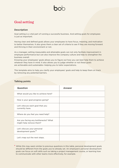### Goal setting

#### **Description**

Goal setting is a vital part of running a successful business. And setting goals for employees is just as important.

Having clear and defined goals allows your employees to have focus, meaning, and motivation to better themselves. It also gives them a clear set of criteria to see if they are moving forward and thriving in their environment or not.

As a manager, setting measurable and attainable goals can not only faciltate improvement in employee performance but can also improve the company culture and help to strengthen the business overall.

Knowing your employees' goals allows you to figure out how you can best help them to achieve whatever they have in mind. It also allows you to judge whether or not these goals are achievable and sustainable—helping you to tailor expectations.

This template aims to help you clarify your employees' goals and help to keep them on track by removing any potential barriers.

#### **Talking points**

| <b>Question</b>                                                 | <b>Answer</b> |
|-----------------------------------------------------------------|---------------|
| What would you like to achieve here?                            |               |
| How is your goal progress going?                                |               |
| Let's discuss each goal that you<br>currently have.             |               |
| Where do you feel you need help?                                |               |
| Are you facing any bottlenecks? What<br>might help remove them? |               |
| Let's discuss your personal<br>development goals.*              |               |
| Let's map out the next steps.                                   |               |

<sup>\*</sup> While this may seem similar to previous questions in this table, personal development goals should be different from the goals you've already set. An employee's personal development goals can focus on soft skills such as taking a project management course, or learning how to communicate with other teams more effectively, for example.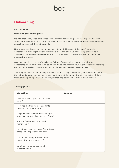## **Onboarding**

#### **Description**

#### **Onboarding is a critical process.**

It's vital that newly hired employees have a clear understanding of what is expected of them and what they need to do to carry out their job responsibilities, and that they have been trained enough to carry out their job properly.

Newly hired employees can end up feeling lost and disillusioned if they aren't properly onboarded. In fact, organizations that have a clear and effective onboarding process have 33 percent higher employee engagement in comparison to organizations with an ineffective onboarding process.

As a manager, it can be helpful to have a full set of expectations to run through when onboarding a new employee. It saves time and also ensures that your organization's onboarding process has a level of consistency across all departments and all new employees.

This template aims to help managers make sure that newly hired employees are satisfied with the onboarding process, and make sure that they are fully aware of what is expected of them. It can also help bring any problems to light that may cause issues further down the line.

| <b>AIKING POINTS</b>                                                           |               |
|--------------------------------------------------------------------------------|---------------|
| <b>Question</b>                                                                | <b>Answer</b> |
| Overall, how has your time here been<br>so far?                                |               |
| How has the training been so far to<br>prepare you for your job?               |               |
| Do you have a clear understanding of<br>your role and what is expected of you? |               |
| Are you finding your workload<br>manageable?                                   |               |
| Have there been any major frustrations<br>that you've experienced so far?      |               |
| Is there anything you'd like more<br>information or resources on?              |               |
| What can we do to help you be<br>successful here?                              |               |
|                                                                                |               |

#### **points Talking**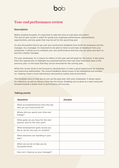### **Year-end performance review**

#### **Description**

Before looking forwards, it's important to take the time to look back and reflect. The end-of-year review is useful for going over employee performance, achievements, opportunities, and any goals that may be set for the upcoming year.

It's also the perfect time to go over any constructive feedback from both the employee and the manager. As a manager, it's important to be able to listen to and take on feedback from your employees. It allows you to evaluate your own performance and how you can grow and learn to become a better manager.

For your employees, it's a chance to reflect on the year and set goals for the future. It also gives them the opportunity to highlight any potential barriers that may have held them back in the previous year—in the hope that they can be removed for the coming year.

While this review tends to be focused on development, it's also a good opportunity for building and improving relationships. The mutual feedback allows issues to be highlighted and worked on—helping create a more harmonious and positive culture and environment.

This template aims to help you to sum up the past year with your employees. It allows space for reflection, as well as taking a look into the future. Enabling you to grow as a team and push forward towards a better level of performance and success.

| <b>Question</b>                                                          | <b>Answer</b> |
|--------------------------------------------------------------------------|---------------|
| What accomplishment(s) from the last<br>year are you most proud of?      |               |
| Where did you spend your time and<br>energy?                             |               |
| What goals do you have for the next<br>quarter, and for the next year?   |               |
| What development goals would you<br>like to set for the next six months? |               |
| What obstacles are standing in your<br>way?                              |               |
| What can we do to help you be<br>successful here?                        |               |
| How can I improve as your manager?                                       |               |

#### **Talking points**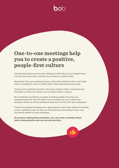## **One-to-one meetings help** you to create a positive, people-first culture

The best thing about one-to-one meetings is that they let your people know that you have their back, and that you're there to support them.

Remember that your employees have a whole life outside of work. And major events unrelated to work can affect their mood and productivity levels.

Events such as getting married or divorced, having a baby, or experiencing the death or illness of a loved one can heavily affect a person.

But sometimes something as simple as letting people know that you understand and are here for them can do wonders for your culture and employer brand, as well as building a deep level of trust with your employees.

These five example templates are a great place to start. Each different template covers a different area, yet they are still about the same thing at their core: the overall welfare of your employees.

By properly utilizing these templates, you can curate a winning culture where communication and care are top priorities.